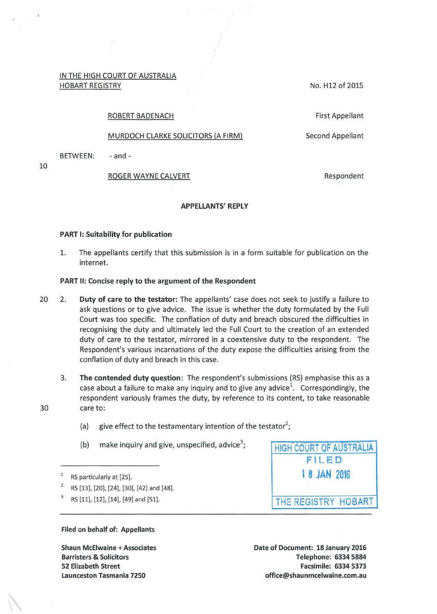IN THE HIGH COURT OF AUSTRALIA HOBART REGISTRY

No. H12 of 2015

#### ROBERT BADENACH

# MURDOCH CLARKE SOLICITORS (A FIRM)

BETWEEN: - and -

#### ROGER WAYNE CALVERT

Second Appellant

First Appellant

Respondent

## APPELLANTS' REPLY

## PART 1: Suitability for publication

1. The appellants certify that this submission is in a form suitable for publication on the internet.

## PART II: Concise reply to the argument of the Respondent

- 20 2. Duty of care to the testator: The appellants' case does not seek to justify a failure to ask questions or to give advice. The issue is whether the duty formulated by the Full Court was too specific. The conflation of duty and breach obscured the difficulties in recognising the duty and ultimately led the Full Court to the creation of an extended duty of care to the testator, mirrored in a coextensive duty to the respondent. The Respondent's various incarnations of the duty expose the difficulties arising from the conflation of duty and breach in this case.
- 3. The contended duty question: The respondent's submissions {RS) emphasise this as a case about a failure to make any inquiry and to give any advice<sup>1</sup>. Correspondingly, the respondent variously frames the duty, by reference to its content, to take reasonable 30 care to:
	- (a) give effect to the testamentary intention of the testator<sup>2</sup>;
	- (b) make inquiry and give, unspecified, advice<sup>3</sup>;
	- RS particularly at [25].
	- 2 RS [13], [20], [24], [30], (42] and [48].
	- RS [11], [12], (14], (49] and [51].

HIGH COURT OF AUSTRALIA FIL E D 1 8 JAN 2016 THE REGISTRY HOBART

Filed on behalf of: Appellants

Shaun McEiwaine +Associates Barristers & Solicitors 52 Elizabeth Street Launceston Tasmania 7250

Date of Document: 18 January 2016 Telephone: 6334 5884 Facsimile: 6334 5373 office@shaunmcelwaine.com.au

10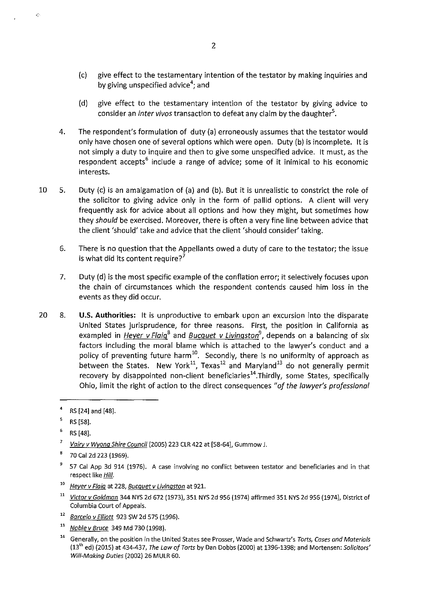- (c) give effect to the testamentary intention of the testator by making inquiries and by giving unspecified advice<sup>4</sup>; and
- (d) give effect to the testamentary intention of the testator by giving advice to consider an *inter vivos* transaction to defeat any claim by the daughter<sup>5</sup>.
- 4. The respondent's formulation of duty (a) erroneously assumes that the testator would only have chosen one of several options which were open. Duty (b) is incomplete. It is not simply a duty to inquire and then to give some unspecified advice. It must, as the respondent accepts<sup>6</sup> include a range of advice; some of it inimical to his economic interests.
- 10 5. Duty (c) is an amalgamation of (a) and (b). But it is unrealistic to constrict the role of the solicitor to giving advice only in the form of pallid options. A client will very frequently ask for advice about all options and how they might, but sometimes how they *should* be exercised. Moreover, there is often a very fine line between advice that the client 'should' take and advice that the client 'should consider' taking.
	- 6. There is no question that the Appellants owed a duty of care to the testator; the issue is what did its content require?<sup>7</sup>
	- 7. Duty (d) is the most specific example of the conflation error; it selectively focuses upon the chain of circumstances which the respondent contends caused him loss in the events as they did occur.
- 20 8. **U.S. Authorities:** It is unproductive to embark upon an excursion into the disparate United States jurisprudence, for three reasons. First, the position in California as exampled in *Heyer v Flaig*<sup>8</sup> and *Bucquet v Livingston*<sup>9</sup>, depends on a balancing of six factors including the moral blame which is attached to the lawyer's conduct and a policy of preventing future harm<sup>10</sup>. Secondly, there is no uniformity of approach as between the States. New York<sup>11</sup>, Texas<sup>12</sup> and Maryland<sup>13</sup> do not generally permit recovery by disappointed non-client beneficiaries<sup>14</sup>. Thirdly, some States, specifically Ohio, limit the right of action to the direct consequences *"of the lawyer's professional*

È

- <sup>10</sup>**Hever v Flaig at 228, Bucquet v Livingston at 921.**
- <sup>11</sup> Victor v Goldman 344 NYS 2d 672 (1973), 351 NYS 2d 956 (1974) affirmed 351 NYS 2d 956 (1974), District of Columbia Court of Appeals.
- $12$  Barcelo v Elliott 923 SW 2d 575 (1996).
- <sup>13</sup> Noble v Bruce 349 Md 730 (1998).
- <sup>14</sup> Generally, on the position in the United States see Prosser, Wade and Schwartz's *Torts, Cases and Materials*  $(13^{th}$  ed) (2015) at 434-437, The Law of Torts by Dan Dobbs (2000) at 1396-1398; and Mortensen: Solicitors' Will-Making Duties (2002) 26 MULR 60.

<sup>4</sup>RS [24] and [48].

 $5$  RS [58].

 $^{6}$  RS [48].

 $\overline{7}$ Vairy v Wyong Shire Council (2005) 223 CLR 422 at [58-64], Gummow J.

 $8$  70 Cal 2d 223 (1969).

<sup>&</sup>lt;sup>9</sup> 57 Cal App 3d 914 (1976). A case involving no conflict between testator and beneficiaries and in that respect like **Hill**.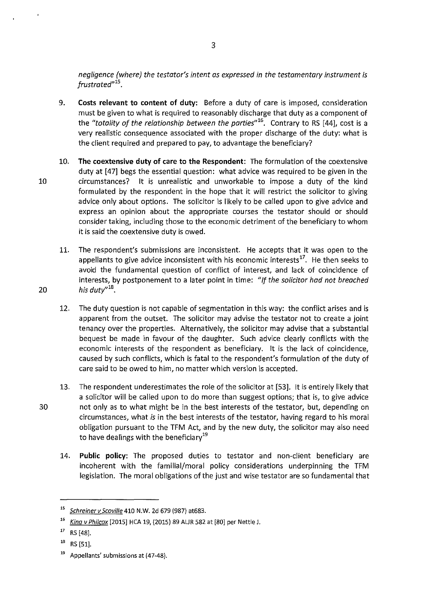*negligence (where) the testator's intent as expressed in the testamentary instrument is frustrated*"<sup>15</sup>.

- 9. **Costs relevant to content of duty:** Before a duty of care is imposed, consideration must be given to what is required to reasonably discharge that duty as a component of the "totality of the relationship between the parties"<sup>16</sup>. Contrary to RS [44], cost is a very realistic consequence associated with the proper discharge of the duty: what is the client required and prepared to pay, to advantage the beneficiary?
- 10. **The coextensive duty of care to the Respondent:** The formulation of the coextensive duty at [47] begs the essential question: what advice was required to be given in the 10 circumstances? It is unrealistic and unworkable to impose a duty of the kind formulated by the respondent in the hope that it will restrict the solicitor to giving advice only about options. The solicitor is likely to be called upon to give advice and express an opinion about the appropriate courses the testator should or should consider taking, including those to the economic detriment of the beneficiary to whom it is said the coextensive duty is owed.
- 11. The respondent's submissions are inconsistent. He accepts that it was open to the appellants to give advice inconsistent with his economic interests<sup>17</sup>. He then seeks to avoid the fundamental question of conflict of interest, and lack of coincidence of interests, by postponement to a later point in time: *"If the solicitor had not breached*  20 *his duty" 18•* 
	- 12. The duty question is not capable of segmentation in this way: the conflict arises and is apparent from the outset. The solicitor may advise the testator not to create a joint tenancy over the properties. Alternatively, the solicitor may advise that a substantial bequest be made in favour of the daughter. Such advice clearly conflicts with the economic interests of the respondent as beneficiary. It is the lack of coincidence, caused by such conflicts, which is fatal to the respondent's formulation of the duty of care said to be owed to him, no matter which version is accepted.
- 13. The respondent underestimates the role of the solicitor at [53]. It is entirely likely that a solicitor will be called upon to do more than suggest options; that is, to give advice 30 not only as to what might be in the best interests of the testator, but, depending on circumstances, what *is* in the best interests of the testator, having regard to his moral obligation pursuant to the TFM Act, and by the new duty, the solicitor may also need to have dealings with the beneficiary<sup>19</sup>
	- 14. **Public policy:** The proposed duties to testator and non-client beneficiary are incoherent with the familial/moral policy considerations underpinning the TFM legislation. The moral obligations of the just and wise testator are so fundamental that

3

<sup>&</sup>lt;sup>15</sup> Schreiner v Scoville 410 N.W. 2d 679 (987) at683.

<sup>&</sup>lt;sup>16</sup> King v Philcox [2015] HCA 19, (2015) 89 ALJR 582 at [80] per Nettle J.

 $17$  RS [48].

 $18$  RS [51].

<sup>&</sup>lt;sup>19</sup> Appellants' submissions at (47-48).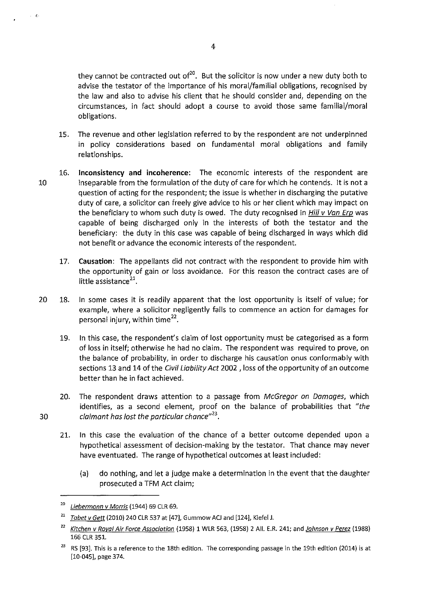they cannot be contracted out of $^{20}$ . But the solicitor is now under a new duty both to advise the testator of the importance of his moral/familial obligations, recognised by the law and also to advise his client that he should consider and, depending on the circumstances, in fact should adopt a course to avoid those same familial/moral obligations.

- 15. The revenue and other legislation referred to by the respondent are not underpinned in policy considerations based on fundamental moral obligations and family relationships.
- 16. **Inconsistency and incoherence:** The economic interests of the respondent are 10 inseparable from the formulation of the duty of care for which he contends. It is not a question of acting for the respondent; the issue is whether in discharging the putative duty of care, a solicitor can freely give advice to his or her client which may impact on the beneficiary to whom such duty is owed. The duty recognised in *Hill v Van Erp* was capable of being discharged only in the interests of both the testator and the beneficiary: the duty in this case was capable of being discharged in ways which did not benefit or advance the economic interests of the respondent.
	- 17. **Causation:** The appellants did not contract with the respondent to provide him with the opportunity of gain or loss avoidance. For this reason the contract cases are of little assistance $^{21}$ .
- 20 18. In some cases it is readily apparent that the lost opportunity is itself of value; for example, where a solicitor negligently fails to commence an action for damages for personal injury, within time $^{22}$ .
	- 19. In this case, the respondent's claim of lost opportunity must be categorised as a form of loss in itself; otherwise he had no claim. The respondent was required to prove, on the balance of probability, in order to discharge his causation onus conformably with sections 13 and 14 of the Civil Liability Act 2002, loss of the opportunity of an outcome better than he in fact achieved.
- 20. The respondent draws attention to a passage from McGregor on Damages, which identifies, as a second element, proof on the balance of probabilities that "the 30 claimant has lost the particular chance"*23•* 
	- 21. In this case the evaluation of the chance of a better outcome depended upon a hypothetical assessment of decision-making by the testator. That chance may never have eventuated. The range of hypothetical outcomes at least included:
		- (a) do nothing, and let a judge make a determination in the event that the daughter prosecuted a TFM Act claim;

 $\sim$   $\epsilon$ 

Liebermann v Morris (1944) 69 CLR 69.

 $^{21}$  Tabet v Gett (2010) 240 CLR 537 at [47], Gummow ACJ and [124], Kiefel J.

<sup>&</sup>lt;sup>22</sup> Kitchen v Royal Air Force Association (1958) 1 WLR 563, (1958) 2 All. E.R. 241; and Johnson v Perez (1988) 166 CLR 351.

<sup>&</sup>lt;sup>23</sup> RS [93]. This is a reference to the 18th edition. The corresponding passage in the 19th edition (2014) is at [10-045), page 374.